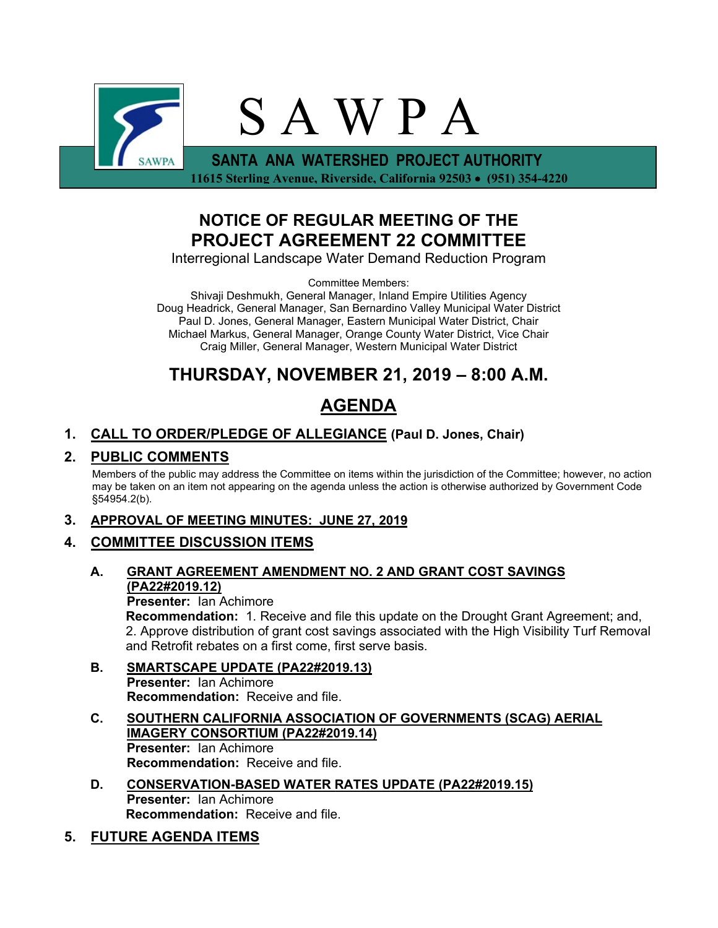

**NOTICE OF REGULAR MEETING OF THE**

**PROJECT AGREEMENT 22 COMMITTEE**

Interregional Landscape Water Demand Reduction Program

Committee Members:

Shivaji Deshmukh, General Manager, Inland Empire Utilities Agency Doug Headrick, General Manager, San Bernardino Valley Municipal Water District Paul D. Jones, General Manager, Eastern Municipal Water District, Chair Michael Markus, General Manager, Orange County Water District, Vice Chair Craig Miller, General Manager, Western Municipal Water District

# **THURSDAY, NOVEMBER 21, 2019 – 8:00 A.M.**

# **AGENDA**

# **1. CALL TO ORDER/PLEDGE OF ALLEGIANCE (Paul D. Jones, Chair)**

## **2. PUBLIC COMMENTS**

Members of the public may address the Committee on items within the jurisdiction of the Committee; however, no action may be taken on an item not appearing on the agenda unless the action is otherwise authorized by Government Code §54954.2(b).

### **3. APPROVAL OF MEETING MINUTES: JUNE 27, 2019**

### **4. COMMITTEE DISCUSSION ITEMS**

### **A. GRANT AGREEMENT AMENDMENT NO. 2 AND GRANT COST SAVINGS (PA22#2019.12)**

**Presenter:** Ian Achimore **Recommendation:** 1. Receive and file this update on the Drought Grant Agreement; and, 2. Approve distribution of grant cost savings associated with the High Visibility Turf Removal and Retrofit rebates on a first come, first serve basis.

- **B. SMARTSCAPE UPDATE (PA22#2019.13) Presenter:** Ian Achimore **Recommendation:** Receive and file.
- **C. SOUTHERN CALIFORNIA ASSOCIATION OF GOVERNMENTS (SCAG) AERIAL IMAGERY CONSORTIUM (PA22#2019.14) Presenter:** Ian Achimore **Recommendation:** Receive and file.
- **D. CONSERVATION-BASED WATER RATES UPDATE (PA22#2019.15) Presenter:** Ian Achimore **Recommendation:** Receive and file.

# **5. FUTURE AGENDA ITEMS**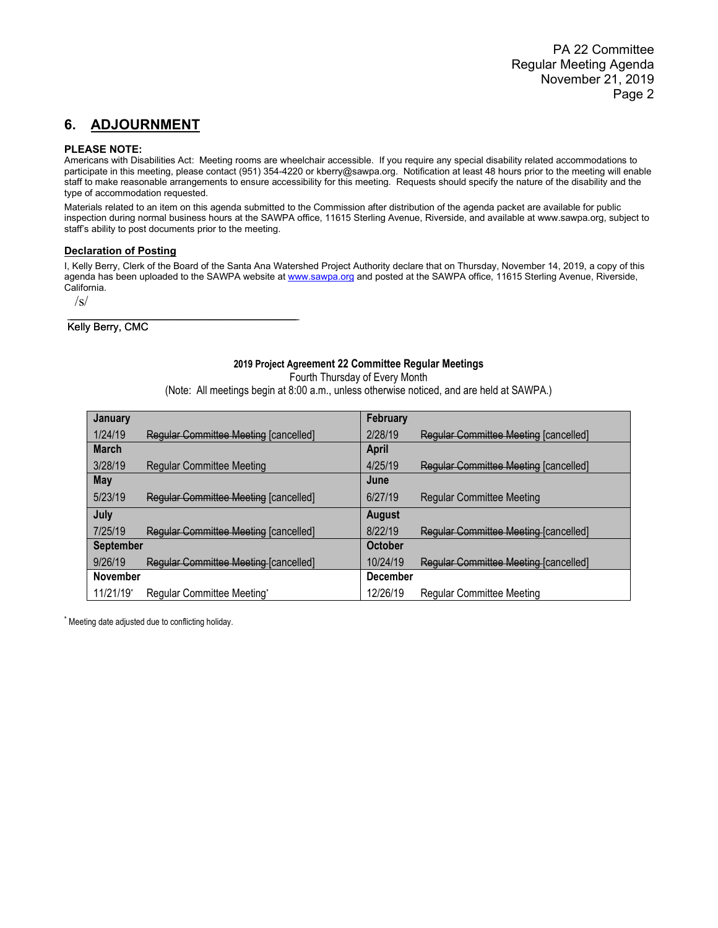## **6. ADJOURNMENT**

#### **PLEASE NOTE:**

Americans with Disabilities Act: Meeting rooms are wheelchair accessible. If you require any special disability related accommodations to participate in this meeting, please contact (951) 354-4220 or kberry@sawpa.org. Notification at least 48 hours prior to the meeting will enable staff to make reasonable arrangements to ensure accessibility for this meeting. Requests should specify the nature of the disability and the type of accommodation requested.

Materials related to an item on this agenda submitted to the Commission after distribution of the agenda packet are available for public inspection during normal business hours at the SAWPA office, 11615 Sterling Avenue, Riverside, and available at www.sawpa.org, subject to staff's ability to post documents prior to the meeting.

#### **Declaration of Posting**

 $\mathcal{L}_\text{max}$  , which is a set of the set of the set of the set of the set of the set of the set of the set of the set of the set of the set of the set of the set of the set of the set of the set of the set of the set of

 $\overline{\phantom{a}}$  , and the set of the set of the set of the set of the set of the set of the set of the set of the set of the set of the set of the set of the set of the set of the set of the set of the set of the set of the s

I, Kelly Berry, Clerk of the Board of the Santa Ana Watershed Project Authority declare that on Thursday, November 14, 2019, a copy of this agenda has been uploaded to the SAWPA website a[t www.sawpa.org](http://www.sawpa.org/) and posted at the SAWPA office, 11615 Sterling Avenue, Riverside, California.

 $\sqrt{s}$ 

Kelly Berry, CMC

#### **2019 Project Agreement 22 Committee Regular Meetings**

Fourth Thursday of Every Month

(Note: All meetings begin at 8:00 a.m., unless otherwise noticed, and are held at SAWPA.)

| <b>January</b>   |                                       | <b>February</b> |                                              |
|------------------|---------------------------------------|-----------------|----------------------------------------------|
| 1/24/19          | Regular Committee Meeting [cancelled] | 2/28/19         | Regular Committee Meeting [cancelled]        |
| <b>March</b>     |                                       | <b>April</b>    |                                              |
| 3/28/19          | <b>Regular Committee Meeting</b>      | 4/25/19         | <b>Regular Committee Meeting [cancelled]</b> |
| May              |                                       | June            |                                              |
| 5/23/19          | Regular Committee Meeting [cancelled] | 6/27/19         | <b>Regular Committee Meeting</b>             |
| July             |                                       | <b>August</b>   |                                              |
| 7/25/19          | Regular Committee Meeting [cancelled] | 8/22/19         | Regular Committee Meeting [cancelled]        |
| <b>September</b> |                                       | <b>October</b>  |                                              |
| 9/26/19          | Regular Committee Meeting [cancelled] | 10/24/19        | Regular Committee Meeting [cancelled]        |
| <b>November</b>  |                                       | <b>December</b> |                                              |
| 11/21/19*        | Regular Committee Meeting*            | 12/26/19        | <b>Regular Committee Meeting</b>             |

\* Meeting date adjusted due to conflicting holiday.